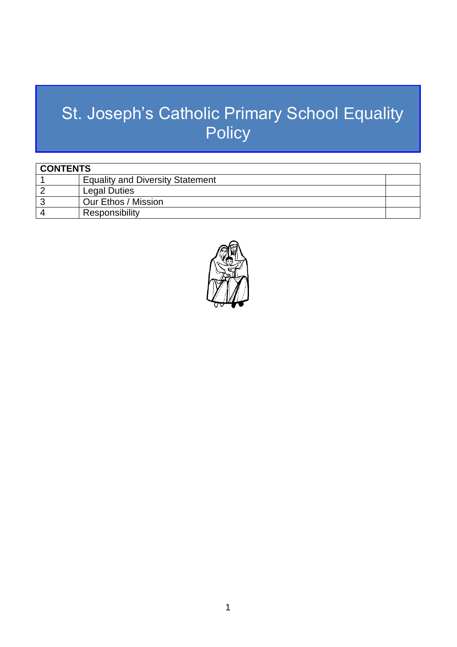# St. Joseph's Catholic Primary School Equality **Policy**

| <b>CONTENTS</b> |                                         |  |
|-----------------|-----------------------------------------|--|
|                 | <b>Equality and Diversity Statement</b> |  |
|                 | <b>Legal Duties</b>                     |  |
|                 | Our Ethos / Mission                     |  |
|                 | Responsibility                          |  |

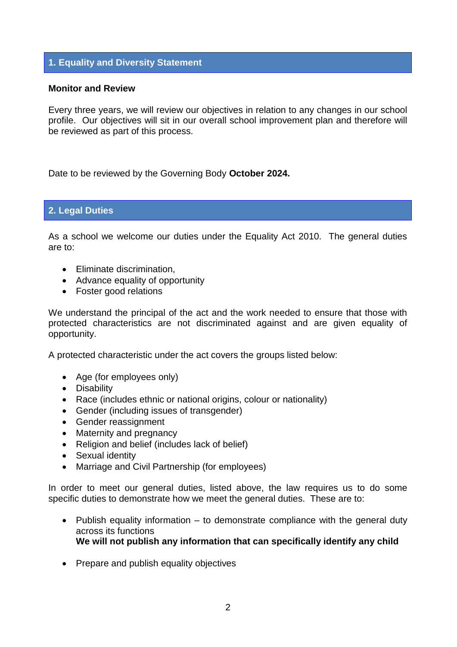## **1. Equality and Diversity Statement**

#### **Monitor and Review**

Every three years, we will review our objectives in relation to any changes in our school profile. Our objectives will sit in our overall school improvement plan and therefore will be reviewed as part of this process.

Date to be reviewed by the Governing Body **October 2024.**

## **2. Legal Duties**

As a school we welcome our duties under the Equality Act 2010. The general duties are to:

- Eliminate discrimination.
- Advance equality of opportunity
- Foster good relations

We understand the principal of the act and the work needed to ensure that those with protected characteristics are not discriminated against and are given equality of opportunity.

A protected characteristic under the act covers the groups listed below:

- Age (for employees only)
- Disability
- Race (includes ethnic or national origins, colour or nationality)
- Gender (including issues of transgender)
- Gender reassignment
- Maternity and pregnancy
- Religion and belief (includes lack of belief)
- Sexual identity
- Marriage and Civil Partnership (for employees)

In order to meet our general duties, listed above, the law requires us to do some specific duties to demonstrate how we meet the general duties. These are to:

- Publish equality information  $-$  to demonstrate compliance with the general duty across its functions **We will not publish any information that can specifically identify any child**
- Prepare and publish equality objectives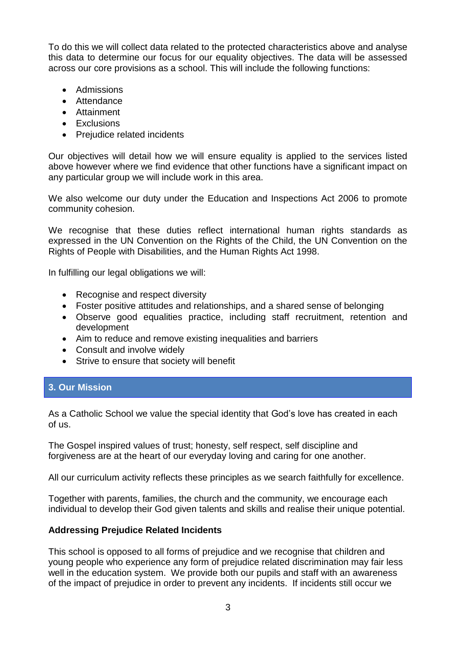To do this we will collect data related to the protected characteristics above and analyse this data to determine our focus for our equality objectives. The data will be assessed across our core provisions as a school. This will include the following functions:

- Admissions
- Attendance
- Attainment
- Exclusions
- Prejudice related incidents

Our objectives will detail how we will ensure equality is applied to the services listed above however where we find evidence that other functions have a significant impact on any particular group we will include work in this area.

We also welcome our duty under the Education and Inspections Act 2006 to promote community cohesion.

We recognise that these duties reflect international human rights standards as expressed in the UN Convention on the Rights of the Child, the UN Convention on the Rights of People with Disabilities, and the Human Rights Act 1998.

In fulfilling our legal obligations we will:

- Recognise and respect diversity
- Foster positive attitudes and relationships, and a shared sense of belonging
- Observe good equalities practice, including staff recruitment, retention and development
- Aim to reduce and remove existing inequalities and barriers
- Consult and involve widely
- Strive to ensure that society will benefit

## **3. Our Mission**

As a Catholic School we value the special identity that God's love has created in each of us.

The Gospel inspired values of trust; honesty, self respect, self discipline and forgiveness are at the heart of our everyday loving and caring for one another.

All our curriculum activity reflects these principles as we search faithfully for excellence.

Together with parents, families, the church and the community, we encourage each individual to develop their God given talents and skills and realise their unique potential.

#### **Addressing Prejudice Related Incidents**

This school is opposed to all forms of prejudice and we recognise that children and young people who experience any form of prejudice related discrimination may fair less well in the education system. We provide both our pupils and staff with an awareness of the impact of prejudice in order to prevent any incidents. If incidents still occur we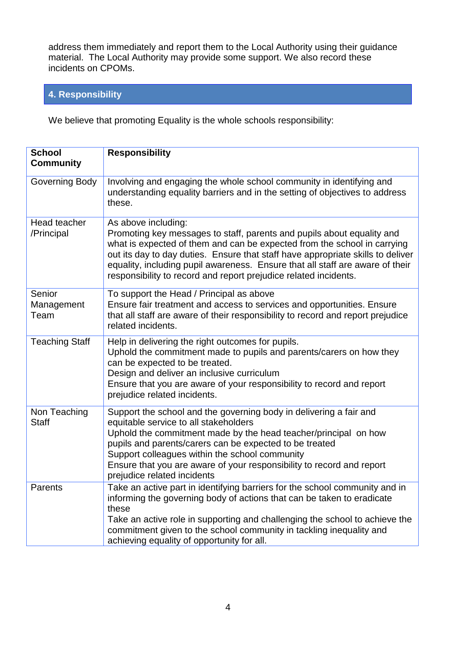address them immediately and report them to the Local Authority using their guidance material. The Local Authority may provide some support. We also record these incidents on CPOMs.

## **4. Responsibility**

We believe that promoting Equality is the whole schools responsibility:

| <b>School</b><br><b>Community</b> | <b>Responsibility</b>                                                                                                                                                                                                                                                                                                                                                                                             |
|-----------------------------------|-------------------------------------------------------------------------------------------------------------------------------------------------------------------------------------------------------------------------------------------------------------------------------------------------------------------------------------------------------------------------------------------------------------------|
| Governing Body                    | Involving and engaging the whole school community in identifying and<br>understanding equality barriers and in the setting of objectives to address<br>these.                                                                                                                                                                                                                                                     |
| Head teacher<br>/Principal        | As above including:<br>Promoting key messages to staff, parents and pupils about equality and<br>what is expected of them and can be expected from the school in carrying<br>out its day to day duties. Ensure that staff have appropriate skills to deliver<br>equality, including pupil awareness. Ensure that all staff are aware of their<br>responsibility to record and report prejudice related incidents. |
| Senior<br>Management<br>Team      | To support the Head / Principal as above<br>Ensure fair treatment and access to services and opportunities. Ensure<br>that all staff are aware of their responsibility to record and report prejudice<br>related incidents.                                                                                                                                                                                       |
| <b>Teaching Staff</b>             | Help in delivering the right outcomes for pupils.<br>Uphold the commitment made to pupils and parents/carers on how they<br>can be expected to be treated.<br>Design and deliver an inclusive curriculum<br>Ensure that you are aware of your responsibility to record and report<br>prejudice related incidents.                                                                                                 |
| Non Teaching<br><b>Staff</b>      | Support the school and the governing body in delivering a fair and<br>equitable service to all stakeholders<br>Uphold the commitment made by the head teacher/principal on how<br>pupils and parents/carers can be expected to be treated<br>Support colleagues within the school community<br>Ensure that you are aware of your responsibility to record and report<br>prejudice related incidents               |
| Parents                           | Take an active part in identifying barriers for the school community and in<br>informing the governing body of actions that can be taken to eradicate<br>these<br>Take an active role in supporting and challenging the school to achieve the<br>commitment given to the school community in tackling inequality and<br>achieving equality of opportunity for all.                                                |